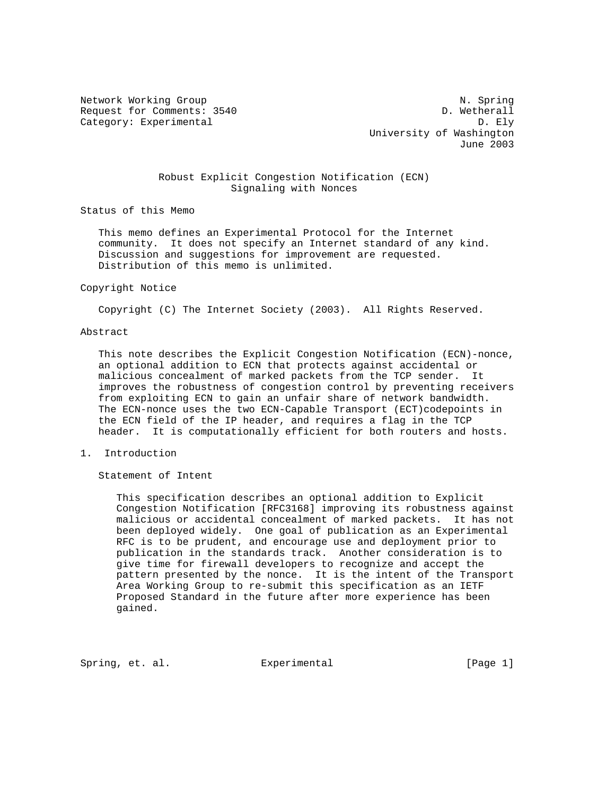Network Working Group Network Working Group Network Network Network Network Network Network Network Network Ne Request for Comments: 3540 D. Wetherall Category: Experimental D. Ely

 University of Washington June 2003

### Robust Explicit Congestion Notification (ECN) Signaling with Nonces

Status of this Memo

 This memo defines an Experimental Protocol for the Internet community. It does not specify an Internet standard of any kind. Discussion and suggestions for improvement are requested. Distribution of this memo is unlimited.

#### Copyright Notice

Copyright (C) The Internet Society (2003). All Rights Reserved.

### Abstract

 This note describes the Explicit Congestion Notification (ECN)-nonce, an optional addition to ECN that protects against accidental or malicious concealment of marked packets from the TCP sender. It improves the robustness of congestion control by preventing receivers from exploiting ECN to gain an unfair share of network bandwidth. The ECN-nonce uses the two ECN-Capable Transport (ECT)codepoints in the ECN field of the IP header, and requires a flag in the TCP header. It is computationally efficient for both routers and hosts.

1. Introduction

Statement of Intent

 This specification describes an optional addition to Explicit Congestion Notification [RFC3168] improving its robustness against malicious or accidental concealment of marked packets. It has not been deployed widely. One goal of publication as an Experimental RFC is to be prudent, and encourage use and deployment prior to publication in the standards track. Another consideration is to give time for firewall developers to recognize and accept the pattern presented by the nonce. It is the intent of the Transport Area Working Group to re-submit this specification as an IETF Proposed Standard in the future after more experience has been gained.

Spring, et. al. Experimental [Page 1]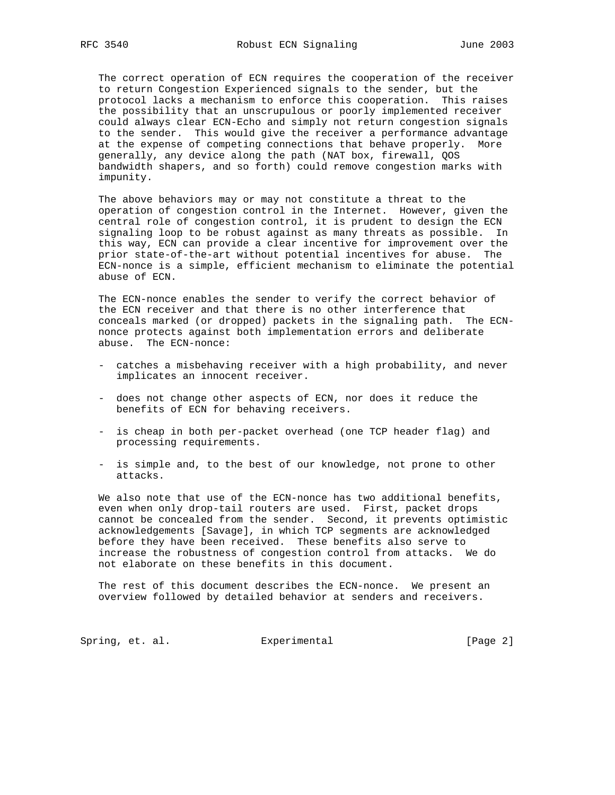The correct operation of ECN requires the cooperation of the receiver to return Congestion Experienced signals to the sender, but the protocol lacks a mechanism to enforce this cooperation. This raises the possibility that an unscrupulous or poorly implemented receiver could always clear ECN-Echo and simply not return congestion signals to the sender. This would give the receiver a performance advantage at the expense of competing connections that behave properly. More generally, any device along the path (NAT box, firewall, QOS bandwidth shapers, and so forth) could remove congestion marks with impunity.

 The above behaviors may or may not constitute a threat to the operation of congestion control in the Internet. However, given the central role of congestion control, it is prudent to design the ECN signaling loop to be robust against as many threats as possible. In this way, ECN can provide a clear incentive for improvement over the prior state-of-the-art without potential incentives for abuse. The ECN-nonce is a simple, efficient mechanism to eliminate the potential abuse of ECN.

 The ECN-nonce enables the sender to verify the correct behavior of the ECN receiver and that there is no other interference that conceals marked (or dropped) packets in the signaling path. The ECN nonce protects against both implementation errors and deliberate abuse. The ECN-nonce:

- catches a misbehaving receiver with a high probability, and never implicates an innocent receiver.
- does not change other aspects of ECN, nor does it reduce the benefits of ECN for behaving receivers.
- is cheap in both per-packet overhead (one TCP header flag) and processing requirements.
- is simple and, to the best of our knowledge, not prone to other attacks.

 We also note that use of the ECN-nonce has two additional benefits, even when only drop-tail routers are used. First, packet drops cannot be concealed from the sender. Second, it prevents optimistic acknowledgements [Savage], in which TCP segments are acknowledged before they have been received. These benefits also serve to increase the robustness of congestion control from attacks. We do not elaborate on these benefits in this document.

 The rest of this document describes the ECN-nonce. We present an overview followed by detailed behavior at senders and receivers.

Spring, et. al. **Experimental** [Page 2]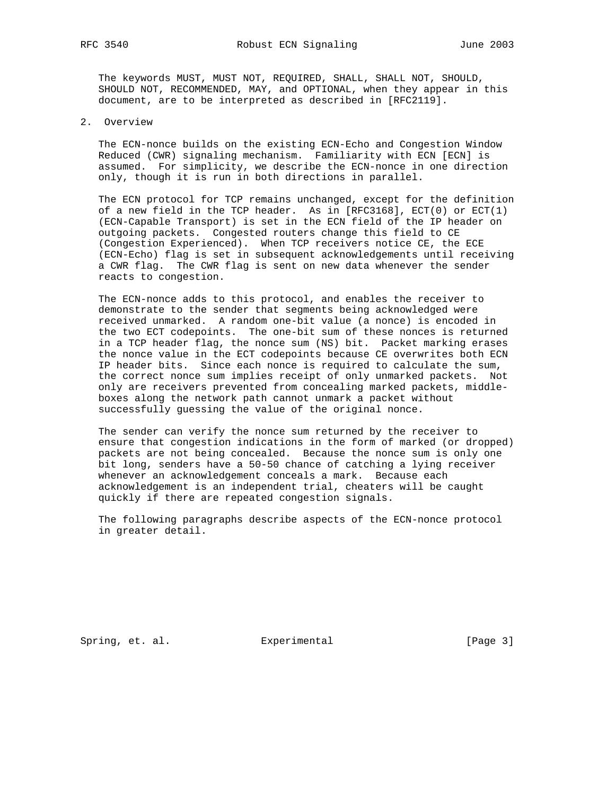The keywords MUST, MUST NOT, REQUIRED, SHALL, SHALL NOT, SHOULD, SHOULD NOT, RECOMMENDED, MAY, and OPTIONAL, when they appear in this document, are to be interpreted as described in [RFC2119].

2. Overview

 The ECN-nonce builds on the existing ECN-Echo and Congestion Window Reduced (CWR) signaling mechanism. Familiarity with ECN [ECN] is assumed. For simplicity, we describe the ECN-nonce in one direction only, though it is run in both directions in parallel.

 The ECN protocol for TCP remains unchanged, except for the definition of a new field in the TCP header. As in  $[RFC3168]$ ,  $ECT(0)$  or  $ECT(1)$  (ECN-Capable Transport) is set in the ECN field of the IP header on outgoing packets. Congested routers change this field to CE (Congestion Experienced). When TCP receivers notice CE, the ECE (ECN-Echo) flag is set in subsequent acknowledgements until receiving a CWR flag. The CWR flag is sent on new data whenever the sender reacts to congestion.

 The ECN-nonce adds to this protocol, and enables the receiver to demonstrate to the sender that segments being acknowledged were received unmarked. A random one-bit value (a nonce) is encoded in the two ECT codepoints. The one-bit sum of these nonces is returned in a TCP header flag, the nonce sum (NS) bit. Packet marking erases the nonce value in the ECT codepoints because CE overwrites both ECN IP header bits. Since each nonce is required to calculate the sum, the correct nonce sum implies receipt of only unmarked packets. Not only are receivers prevented from concealing marked packets, middle boxes along the network path cannot unmark a packet without successfully guessing the value of the original nonce.

 The sender can verify the nonce sum returned by the receiver to ensure that congestion indications in the form of marked (or dropped) packets are not being concealed. Because the nonce sum is only one bit long, senders have a 50-50 chance of catching a lying receiver whenever an acknowledgement conceals a mark. Because each acknowledgement is an independent trial, cheaters will be caught quickly if there are repeated congestion signals.

 The following paragraphs describe aspects of the ECN-nonce protocol in greater detail.

Spring, et. al. **Experimental** [Page 3]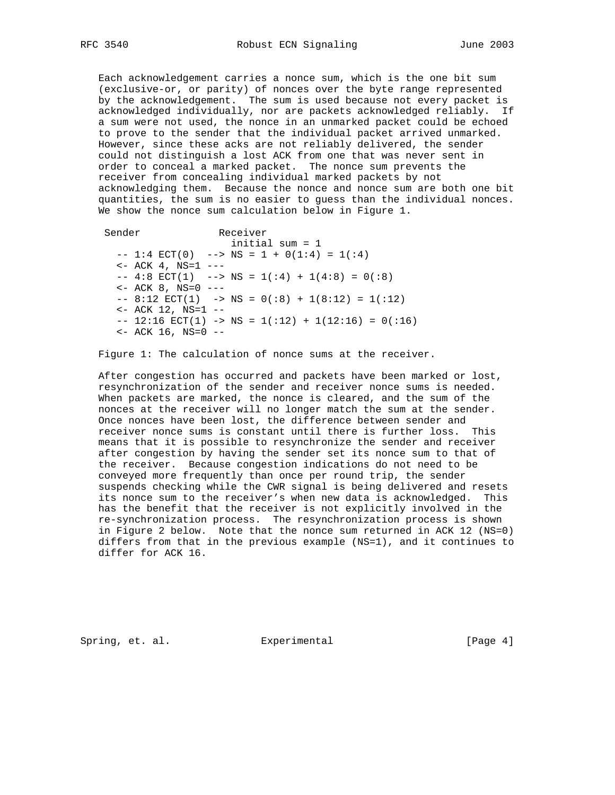Each acknowledgement carries a nonce sum, which is the one bit sum (exclusive-or, or parity) of nonces over the byte range represented by the acknowledgement. The sum is used because not every packet is acknowledged individually, nor are packets acknowledged reliably. If a sum were not used, the nonce in an unmarked packet could be echoed to prove to the sender that the individual packet arrived unmarked. However, since these acks are not reliably delivered, the sender could not distinguish a lost ACK from one that was never sent in order to conceal a marked packet. The nonce sum prevents the receiver from concealing individual marked packets by not acknowledging them. Because the nonce and nonce sum are both one bit quantities, the sum is no easier to guess than the individual nonces. We show the nonce sum calculation below in Figure 1.

Sender Receiver initial sum = 1  $-- 1:4$  ECT(0)  $--$  NS = 1 + 0(1:4) = 1(:4)  $<-$  ACK 4, NS=1  $-- -- 4:8 ECT(1) --- NS = 1(:4) + 1(4:8) = 0(:8)$  $<-$  ACK 8, NS=0  $-- --$  8:12 ECT(1)  $->$  NS = 0(:8) + 1(8:12) = 1(:12)  $<-$  ACK 12, NS=1  $- -- 12:16 \text{ ECT}(1) \rightarrow NS = 1(:12) + 1(12:16) = 0(:16)$  $<-$  ACK 16, NS=0  $-$ 

Figure 1: The calculation of nonce sums at the receiver.

 After congestion has occurred and packets have been marked or lost, resynchronization of the sender and receiver nonce sums is needed. When packets are marked, the nonce is cleared, and the sum of the nonces at the receiver will no longer match the sum at the sender. Once nonces have been lost, the difference between sender and receiver nonce sums is constant until there is further loss. This means that it is possible to resynchronize the sender and receiver after congestion by having the sender set its nonce sum to that of the receiver. Because congestion indications do not need to be conveyed more frequently than once per round trip, the sender suspends checking while the CWR signal is being delivered and resets its nonce sum to the receiver's when new data is acknowledged. This has the benefit that the receiver is not explicitly involved in the re-synchronization process. The resynchronization process is shown in Figure 2 below. Note that the nonce sum returned in ACK 12 (NS=0) differs from that in the previous example (NS=1), and it continues to differ for ACK 16.

Spring, et. al. **Experimental** [Page 4]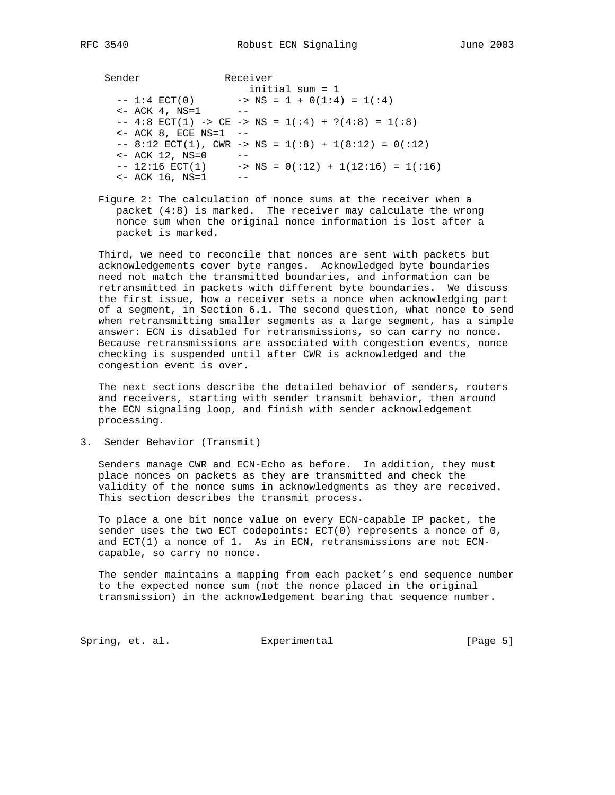Sender Receiver initial sum = 1  $\text{NS} = 1 + 0(1:4) = 1(1:4)$  $- - 1:4$  ECT(0)  $- >$ <br>  $<- ACA$  4, NS=1  $-- 4:8 ECT(1) >> CE -> NS = 1(:4) + ?(4:8) = 1(:8)$  <- ACK 8, ECE NS=1 --  $--$  8:12 ECT(1), CWR  $->$  NS = 1(:8) + 1(8:12) = 0(:12) <- ACK 12, NS=0 --  $-- 12:16 \text{ ECT}(1) \rightarrow NS = 0(:12) + 1(12:16) = 1(:16)$  $<-$  ACK 16, NS=1  $--$ 

 Figure 2: The calculation of nonce sums at the receiver when a packet (4:8) is marked. The receiver may calculate the wrong nonce sum when the original nonce information is lost after a packet is marked.

 Third, we need to reconcile that nonces are sent with packets but acknowledgements cover byte ranges. Acknowledged byte boundaries need not match the transmitted boundaries, and information can be retransmitted in packets with different byte boundaries. We discuss the first issue, how a receiver sets a nonce when acknowledging part of a segment, in Section 6.1. The second question, what nonce to send when retransmitting smaller segments as a large segment, has a simple answer: ECN is disabled for retransmissions, so can carry no nonce. Because retransmissions are associated with congestion events, nonce checking is suspended until after CWR is acknowledged and the congestion event is over.

 The next sections describe the detailed behavior of senders, routers and receivers, starting with sender transmit behavior, then around the ECN signaling loop, and finish with sender acknowledgement processing.

3. Sender Behavior (Transmit)

 Senders manage CWR and ECN-Echo as before. In addition, they must place nonces on packets as they are transmitted and check the validity of the nonce sums in acknowledgments as they are received. This section describes the transmit process.

 To place a one bit nonce value on every ECN-capable IP packet, the sender uses the two ECT codepoints:  $ECT(0)$  represents a nonce of  $0$ , and ECT(1) a nonce of 1. As in ECN, retransmissions are not ECN capable, so carry no nonce.

 The sender maintains a mapping from each packet's end sequence number to the expected nonce sum (not the nonce placed in the original transmission) in the acknowledgement bearing that sequence number.

Spring, et. al. **Experimental** [Page 5]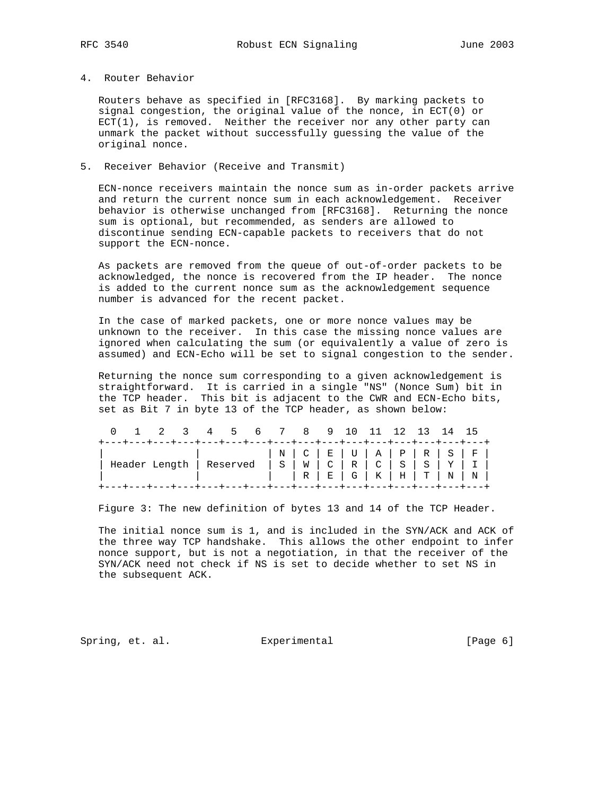# 4. Router Behavior

 Routers behave as specified in [RFC3168]. By marking packets to signal congestion, the original value of the nonce, in ECT(0) or  $ECT(1)$ , is removed. Neither the receiver nor any other party can unmark the packet without successfully guessing the value of the original nonce.

### 5. Receiver Behavior (Receive and Transmit)

 ECN-nonce receivers maintain the nonce sum as in-order packets arrive and return the current nonce sum in each acknowledgement. Receiver behavior is otherwise unchanged from [RFC3168]. Returning the nonce sum is optional, but recommended, as senders are allowed to discontinue sending ECN-capable packets to receivers that do not support the ECN-nonce.

 As packets are removed from the queue of out-of-order packets to be acknowledged, the nonce is recovered from the IP header. The nonce is added to the current nonce sum as the acknowledgement sequence number is advanced for the recent packet.

 In the case of marked packets, one or more nonce values may be unknown to the receiver. In this case the missing nonce values are ignored when calculating the sum (or equivalently a value of zero is assumed) and ECN-Echo will be set to signal congestion to the sender.

 Returning the nonce sum corresponding to a given acknowledgement is straightforward. It is carried in a single "NS" (Nonce Sum) bit in the TCP header. This bit is adjacent to the CWR and ECN-Echo bits, set as Bit 7 in byte 13 of the TCP header, as shown below:

|  | 0 1 2 3 4 5 6 7 8 9 10 11 12 13 14 15                                                                                                                                |  |  |                                         |  |  |  |  |  |
|--|----------------------------------------------------------------------------------------------------------------------------------------------------------------------|--|--|-----------------------------------------|--|--|--|--|--|
|  | +---+---+---+---+---+---+---+---+---+---+---+---+---+---+---+---+---<br>Header Length   Reserved   S   W   C   R   C   S   S   Y   I   R   E   G   K   H   T   N   N |  |  | $  N   C   E   U   A   P   R   S   F  $ |  |  |  |  |  |
|  | +----+---+---+---+---+---+---+---+---+---+---+---+---+---+---+---+---+---                                                                                            |  |  |                                         |  |  |  |  |  |

Figure 3: The new definition of bytes 13 and 14 of the TCP Header.

 The initial nonce sum is 1, and is included in the SYN/ACK and ACK of the three way TCP handshake. This allows the other endpoint to infer nonce support, but is not a negotiation, in that the receiver of the SYN/ACK need not check if NS is set to decide whether to set NS in the subsequent ACK.

Spring, et. al. **Experimental** [Page 6]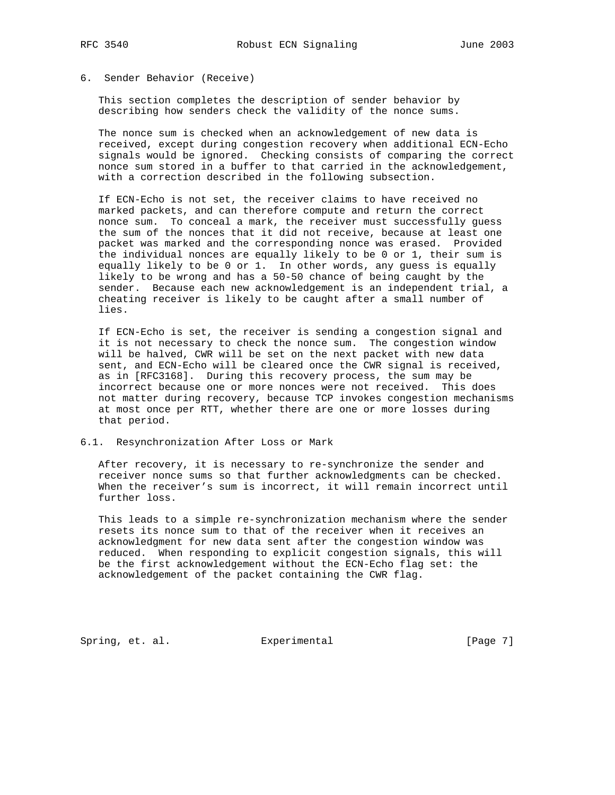# 6. Sender Behavior (Receive)

 This section completes the description of sender behavior by describing how senders check the validity of the nonce sums.

 The nonce sum is checked when an acknowledgement of new data is received, except during congestion recovery when additional ECN-Echo signals would be ignored. Checking consists of comparing the correct nonce sum stored in a buffer to that carried in the acknowledgement, with a correction described in the following subsection.

 If ECN-Echo is not set, the receiver claims to have received no marked packets, and can therefore compute and return the correct nonce sum. To conceal a mark, the receiver must successfully guess the sum of the nonces that it did not receive, because at least one packet was marked and the corresponding nonce was erased. Provided the individual nonces are equally likely to be 0 or 1, their sum is equally likely to be 0 or 1. In other words, any guess is equally likely to be wrong and has a 50-50 chance of being caught by the sender. Because each new acknowledgement is an independent trial, a cheating receiver is likely to be caught after a small number of lies.

 If ECN-Echo is set, the receiver is sending a congestion signal and it is not necessary to check the nonce sum. The congestion window will be halved, CWR will be set on the next packet with new data sent, and ECN-Echo will be cleared once the CWR signal is received, as in [RFC3168]. During this recovery process, the sum may be incorrect because one or more nonces were not received. This does not matter during recovery, because TCP invokes congestion mechanisms at most once per RTT, whether there are one or more losses during that period.

### 6.1. Resynchronization After Loss or Mark

 After recovery, it is necessary to re-synchronize the sender and receiver nonce sums so that further acknowledgments can be checked. When the receiver's sum is incorrect, it will remain incorrect until further loss.

 This leads to a simple re-synchronization mechanism where the sender resets its nonce sum to that of the receiver when it receives an acknowledgment for new data sent after the congestion window was reduced. When responding to explicit congestion signals, this will be the first acknowledgement without the ECN-Echo flag set: the acknowledgement of the packet containing the CWR flag.

Spring, et. al. Experimental [Page 7]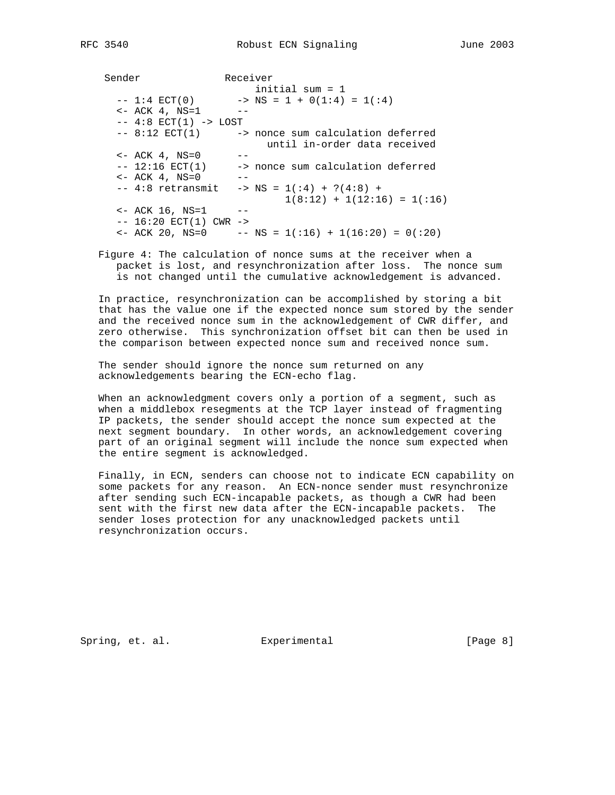Sender Receiver initial sum = 1  $\text{NS} = 1 + 0(1:4) = 1(1:4)$ -- 1:4 ECT(0) -><br><- ACK 4, NS=1 -- $-- 4:8 ECT(1) -> LOS$ -- 8:12 ECT(1) -> nonce sum calculation deferred until in-order data received <- ACK 4, NS=0 --  $-- 12:16$  ECT(1)  $->>$  nonce sum calculation deferred  $<-$  ACK  $4$ , NS=0  $-- 4:8$  retransmit  $-> NS = 1(:4) + ?(4:8) +$  $1(8:12) + 1(12:16) = 1(16)$  $\le$  - ACK 16, NS=1 -- $-- 16:20$  ECT(1) CWR  $->$  $\leftarrow$  ACK 20, NS=0 -- NS = 1(:16) + 1(16:20) = 0(:20)

 Figure 4: The calculation of nonce sums at the receiver when a packet is lost, and resynchronization after loss. The nonce sum is not changed until the cumulative acknowledgement is advanced.

 In practice, resynchronization can be accomplished by storing a bit that has the value one if the expected nonce sum stored by the sender and the received nonce sum in the acknowledgement of CWR differ, and zero otherwise. This synchronization offset bit can then be used in the comparison between expected nonce sum and received nonce sum.

 The sender should ignore the nonce sum returned on any acknowledgements bearing the ECN-echo flag.

 When an acknowledgment covers only a portion of a segment, such as when a middlebox resegments at the TCP layer instead of fragmenting IP packets, the sender should accept the nonce sum expected at the next segment boundary. In other words, an acknowledgement covering part of an original segment will include the nonce sum expected when the entire segment is acknowledged.

 Finally, in ECN, senders can choose not to indicate ECN capability on some packets for any reason. An ECN-nonce sender must resynchronize after sending such ECN-incapable packets, as though a CWR had been sent with the first new data after the ECN-incapable packets. The sender loses protection for any unacknowledged packets until resynchronization occurs.

Spring, et. al. Experimental [Page 8]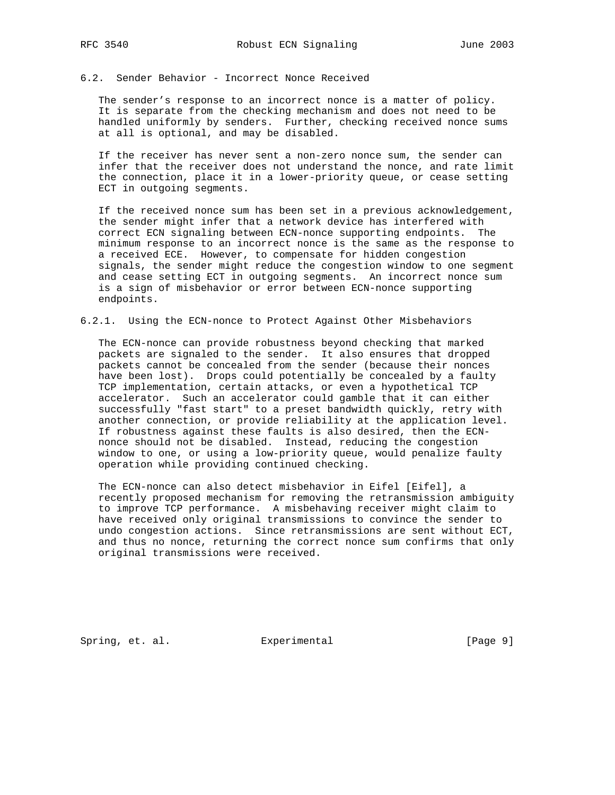# 6.2. Sender Behavior - Incorrect Nonce Received

 The sender's response to an incorrect nonce is a matter of policy. It is separate from the checking mechanism and does not need to be handled uniformly by senders. Further, checking received nonce sums at all is optional, and may be disabled.

 If the receiver has never sent a non-zero nonce sum, the sender can infer that the receiver does not understand the nonce, and rate limit the connection, place it in a lower-priority queue, or cease setting ECT in outgoing segments.

 If the received nonce sum has been set in a previous acknowledgement, the sender might infer that a network device has interfered with correct ECN signaling between ECN-nonce supporting endpoints. The minimum response to an incorrect nonce is the same as the response to a received ECE. However, to compensate for hidden congestion signals, the sender might reduce the congestion window to one segment and cease setting ECT in outgoing segments. An incorrect nonce sum is a sign of misbehavior or error between ECN-nonce supporting endpoints.

### 6.2.1. Using the ECN-nonce to Protect Against Other Misbehaviors

 The ECN-nonce can provide robustness beyond checking that marked packets are signaled to the sender. It also ensures that dropped packets cannot be concealed from the sender (because their nonces have been lost). Drops could potentially be concealed by a faulty TCP implementation, certain attacks, or even a hypothetical TCP accelerator. Such an accelerator could gamble that it can either successfully "fast start" to a preset bandwidth quickly, retry with another connection, or provide reliability at the application level. If robustness against these faults is also desired, then the ECN nonce should not be disabled. Instead, reducing the congestion window to one, or using a low-priority queue, would penalize faulty operation while providing continued checking.

 The ECN-nonce can also detect misbehavior in Eifel [Eifel], a recently proposed mechanism for removing the retransmission ambiguity to improve TCP performance. A misbehaving receiver might claim to have received only original transmissions to convince the sender to undo congestion actions. Since retransmissions are sent without ECT, and thus no nonce, returning the correct nonce sum confirms that only original transmissions were received.

Spring, et. al. **Experimental** [Page 9]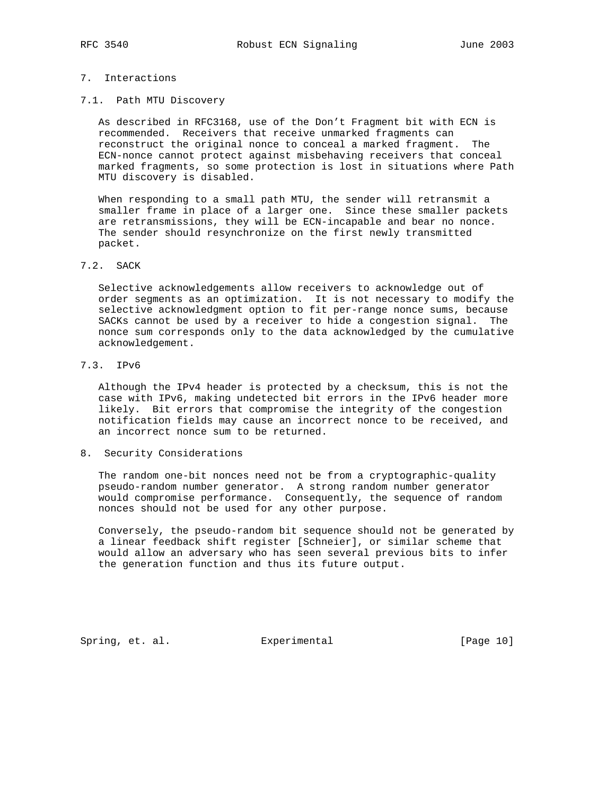# 7. Interactions

7.1. Path MTU Discovery

 As described in RFC3168, use of the Don't Fragment bit with ECN is recommended. Receivers that receive unmarked fragments can reconstruct the original nonce to conceal a marked fragment. The ECN-nonce cannot protect against misbehaving receivers that conceal marked fragments, so some protection is lost in situations where Path MTU discovery is disabled.

 When responding to a small path MTU, the sender will retransmit a smaller frame in place of a larger one. Since these smaller packets are retransmissions, they will be ECN-incapable and bear no nonce. The sender should resynchronize on the first newly transmitted packet.

# 7.2. SACK

 Selective acknowledgements allow receivers to acknowledge out of order segments as an optimization. It is not necessary to modify the selective acknowledgment option to fit per-range nonce sums, because SACKs cannot be used by a receiver to hide a congestion signal. The nonce sum corresponds only to the data acknowledged by the cumulative acknowledgement.

# 7.3. IPv6

 Although the IPv4 header is protected by a checksum, this is not the case with IPv6, making undetected bit errors in the IPv6 header more likely. Bit errors that compromise the integrity of the congestion notification fields may cause an incorrect nonce to be received, and an incorrect nonce sum to be returned.

### 8. Security Considerations

 The random one-bit nonces need not be from a cryptographic-quality pseudo-random number generator. A strong random number generator would compromise performance. Consequently, the sequence of random nonces should not be used for any other purpose.

 Conversely, the pseudo-random bit sequence should not be generated by a linear feedback shift register [Schneier], or similar scheme that would allow an adversary who has seen several previous bits to infer the generation function and thus its future output.

Spring, et. al. **Experimental** [Page 10]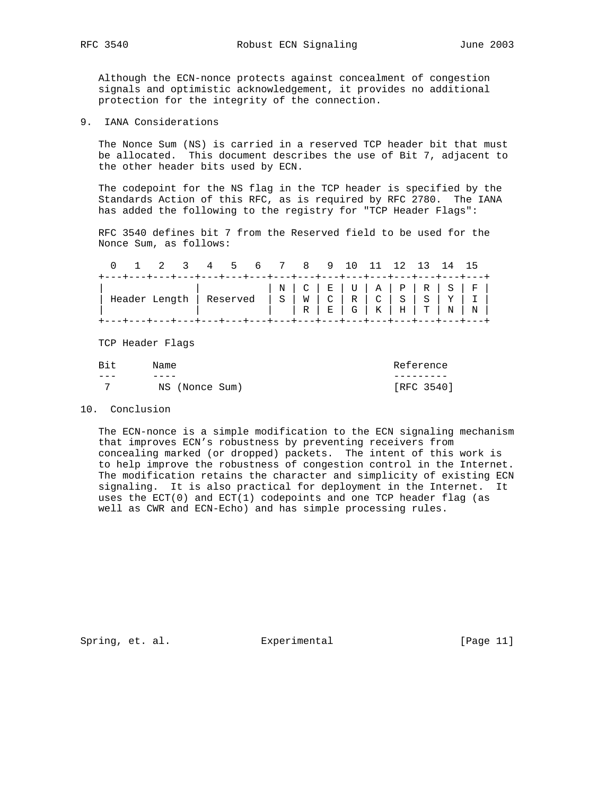Although the ECN-nonce protects against concealment of congestion signals and optimistic acknowledgement, it provides no additional protection for the integrity of the connection.

9. IANA Considerations

 The Nonce Sum (NS) is carried in a reserved TCP header bit that must be allocated. This document describes the use of Bit 7, adjacent to the other header bits used by ECN.

 The codepoint for the NS flag in the TCP header is specified by the Standards Action of this RFC, as is required by RFC 2780. The IANA has added the following to the registry for "TCP Header Flags":

 RFC 3540 defines bit 7 from the Reserved field to be used for the Nonce Sum, as follows:

0 1 2 3 4 5 6 7 8 9 10 11 12 13 14 15

|                                                                                                                      |  |  |  |  | +---+---+---+---+---+---+---+---+---+---+---+---+---+---+---+---+---+ |
|----------------------------------------------------------------------------------------------------------------------|--|--|--|--|-----------------------------------------------------------------------|
|                                                                                                                      |  |  |  |  | $  N   C   E   U   A   P   R   S   F  $                               |
|                                                                                                                      |  |  |  |  |                                                                       |
| Header Length   Reserved   S   W   C   R   C   S   S   Y   I   R   C   S   S   Y   I   R   E   G   K   H   T   N   N |  |  |  |  |                                                                       |
| +---+---+---+---+---+---+---+---+---+---+---+---+---+---+---+---+-                                                   |  |  |  |  |                                                                       |

TCP Header Flags

| Bit | Name           | Reference  |
|-----|----------------|------------|
|     |                |            |
|     | NS (Nonce Sum) | [RFC 3540] |

#### 10. Conclusion

 The ECN-nonce is a simple modification to the ECN signaling mechanism that improves ECN's robustness by preventing receivers from concealing marked (or dropped) packets. The intent of this work is to help improve the robustness of congestion control in the Internet. The modification retains the character and simplicity of existing ECN signaling. It is also practical for deployment in the Internet. It uses the  $ECT(0)$  and  $ECT(1)$  codepoints and one TCP header flag (as well as CWR and ECN-Echo) and has simple processing rules.

Spring, et. al. **Experimental** [Page 11]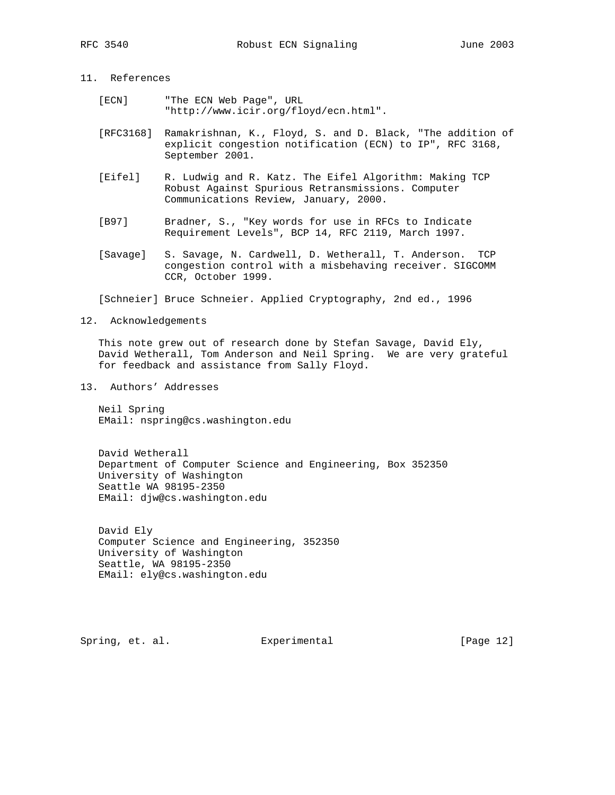# 11. References

- [ECN] "The ECN Web Page", URL "http://www.icir.org/floyd/ecn.html".
- [RFC3168] Ramakrishnan, K., Floyd, S. and D. Black, "The addition of explicit congestion notification (ECN) to IP", RFC 3168, September 2001.
- [Eifel] R. Ludwig and R. Katz. The Eifel Algorithm: Making TCP Robust Against Spurious Retransmissions. Computer Communications Review, January, 2000.
- [B97] Bradner, S., "Key words for use in RFCs to Indicate Requirement Levels", BCP 14, RFC 2119, March 1997.
- [Savage] S. Savage, N. Cardwell, D. Wetherall, T. Anderson. TCP congestion control with a misbehaving receiver. SIGCOMM CCR, October 1999.

[Schneier] Bruce Schneier. Applied Cryptography, 2nd ed., 1996

### 12. Acknowledgements

 This note grew out of research done by Stefan Savage, David Ely, David Wetherall, Tom Anderson and Neil Spring. We are very grateful for feedback and assistance from Sally Floyd.

13. Authors' Addresses

 Neil Spring EMail: nspring@cs.washington.edu

 David Wetherall Department of Computer Science and Engineering, Box 352350 University of Washington Seattle WA 98195-2350 EMail: djw@cs.washington.edu

 David Ely Computer Science and Engineering, 352350 University of Washington Seattle, WA 98195-2350 EMail: ely@cs.washington.edu

Spring, et. al. **Experimental** [Page 12]